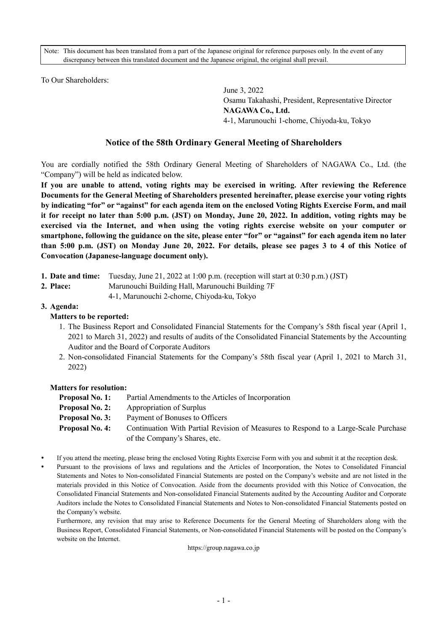Note: This document has been translated from a part of the Japanese original for reference purposes only. In the event of any discrepancy between this translated document and the Japanese original, the original shall prevail.

To Our Shareholders:

June 3, 2022 Osamu Takahashi, President, Representative Director **NAGAWA Co., Ltd.**  4-1, Marunouchi 1-chome, Chiyoda-ku, Tokyo

# **Notice of the 58th Ordinary General Meeting of Shareholders**

You are cordially notified the 58th Ordinary General Meeting of Shareholders of NAGAWA Co., Ltd. (the "Company") will be held as indicated below.

**If you are unable to attend, voting rights may be exercised in writing. After reviewing the Reference Documents for the General Meeting of Shareholders presented hereinafter, please exercise your voting rights by indicating "for" or "against" for each agenda item on the enclosed Voting Rights Exercise Form, and mail it for receipt no later than 5:00 p.m. (JST) on Monday, June 20, 2022. In addition, voting rights may be exercised via the Internet, and when using the voting rights exercise website on your computer or smartphone, following the guidance on the site, please enter "for" or "against" for each agenda item no later than 5:00 p.m. (JST) on Monday June 20, 2022. For details, please see pages 3 to 4 of this Notice of Convocation (Japanese-language document only).** 

- **1. Date and time:** Tuesday, June 21, 2022 at 1:00 p.m. (reception will start at 0:30 p.m.) (JST)
- **2. Place:** Marunouchi Building Hall, Marunouchi Building 7F
	- 4-1, Marunouchi 2-chome, Chiyoda-ku, Tokyo

## **3. Agenda:**

## **Matters to be reported:**

- 1. The Business Report and Consolidated Financial Statements for the Company's 58th fiscal year (April 1, 2021 to March 31, 2022) and results of audits of the Consolidated Financial Statements by the Accounting Auditor and the Board of Corporate Auditors
- 2. Non-consolidated Financial Statements for the Company's 58th fiscal year (April 1, 2021 to March 31, 2022)

## **Matters for resolution:**

- **Proposal No. 1:** Partial Amendments to the Articles of Incorporation **Proposal No. 2:** Appropriation of Surplus **Proposal No. 3:** Payment of Bonuses to Officers **Proposal No. 4:** Continuation With Partial Revision of Measures to Respond to a Large-Scale Purchase of the Company's Shares, etc.
- If you attend the meeting, please bring the enclosed Voting Rights Exercise Form with you and submit it at the reception desk.
- Pursuant to the provisions of laws and regulations and the Articles of Incorporation, the Notes to Consolidated Financial Statements and Notes to Non-consolidated Financial Statements are posted on the Company's website and are not listed in the materials provided in this Notice of Convocation. Aside from the documents provided with this Notice of Convocation, the Consolidated Financial Statements and Non-consolidated Financial Statements audited by the Accounting Auditor and Corporate Auditors include the Notes to Consolidated Financial Statements and Notes to Non-consolidated Financial Statements posted on the Company's website.

Furthermore, any revision that may arise to Reference Documents for the General Meeting of Shareholders along with the Business Report, Consolidated Financial Statements, or Non-consolidated Financial Statements will be posted on the Company's website on the Internet.

https://group.nagawa.co.jp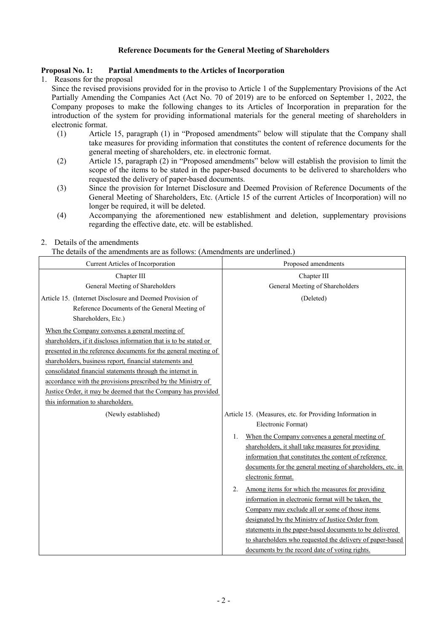## **Reference Documents for the General Meeting of Shareholders**

## **Proposal No. 1: Partial Amendments to the Articles of Incorporation**

1. Reasons for the proposal

Since the revised provisions provided for in the proviso to Article 1 of the Supplementary Provisions of the Act Partially Amending the Companies Act (Act No. 70 of 2019) are to be enforced on September 1, 2022, the Company proposes to make the following changes to its Articles of Incorporation in preparation for the introduction of the system for providing informational materials for the general meeting of shareholders in electronic format.

- (1) Article 15, paragraph (1) in "Proposed amendments" below will stipulate that the Company shall take measures for providing information that constitutes the content of reference documents for the general meeting of shareholders, etc. in electronic format.
- (2) Article 15, paragraph (2) in "Proposed amendments" below will establish the provision to limit the scope of the items to be stated in the paper-based documents to be delivered to shareholders who requested the delivery of paper-based documents.
- (3) Since the provision for Internet Disclosure and Deemed Provision of Reference Documents of the General Meeting of Shareholders, Etc. (Article 15 of the current Articles of Incorporation) will no longer be required, it will be deleted.
- (4) Accompanying the aforementioned new establishment and deletion, supplementary provisions regarding the effective date, etc. will be established.

## 2. Details of the amendments

The details of the amendments are as follows: (Amendments are underlined.)

| Current Articles of Incorporation                                 | Proposed amendments                                        |  |
|-------------------------------------------------------------------|------------------------------------------------------------|--|
| Chapter III                                                       | Chapter III                                                |  |
| General Meeting of Shareholders                                   | General Meeting of Shareholders                            |  |
| Article 15. (Internet Disclosure and Deemed Provision of          | (Deleted)                                                  |  |
| Reference Documents of the General Meeting of                     |                                                            |  |
| Shareholders, Etc.)                                               |                                                            |  |
| When the Company convenes a general meeting of                    |                                                            |  |
| shareholders, if it discloses information that is to be stated or |                                                            |  |
| presented in the reference documents for the general meeting of   |                                                            |  |
| shareholders, business report, financial statements and           |                                                            |  |
| consolidated financial statements through the internet in         |                                                            |  |
| accordance with the provisions prescribed by the Ministry of      |                                                            |  |
| Justice Order, it may be deemed that the Company has provided     |                                                            |  |
| this information to shareholders.                                 |                                                            |  |
| (Newly established)                                               | Article 15. (Measures, etc. for Providing Information in   |  |
|                                                                   | Electronic Format)                                         |  |
|                                                                   | When the Company convenes a general meeting of<br>1.       |  |
|                                                                   | shareholders, it shall take measures for providing         |  |
|                                                                   | information that constitutes the content of reference      |  |
|                                                                   | documents for the general meeting of shareholders, etc. in |  |
|                                                                   | electronic format.                                         |  |
|                                                                   | Among items for which the measures for providing<br>2.     |  |
|                                                                   | information in electronic format will be taken, the        |  |
|                                                                   | Company may exclude all or some of those items             |  |
|                                                                   | designated by the Ministry of Justice Order from           |  |
|                                                                   | statements in the paper-based documents to be delivered    |  |
|                                                                   | to shareholders who requested the delivery of paper-based  |  |
|                                                                   | documents by the record date of voting rights.             |  |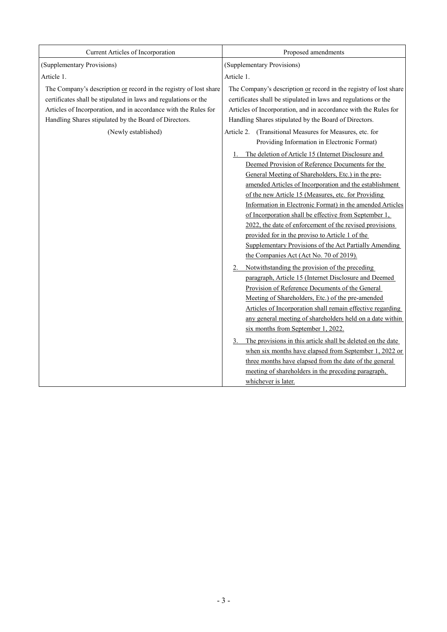| Current Articles of Incorporation                                                                                                                                                                                                                                                       | Proposed amendments                                                                                                                                                                                                                                                                                                                                                                                                                                                                                                                                                                                                                                                                                                                                                                                                                                                                                                                                                   |  |
|-----------------------------------------------------------------------------------------------------------------------------------------------------------------------------------------------------------------------------------------------------------------------------------------|-----------------------------------------------------------------------------------------------------------------------------------------------------------------------------------------------------------------------------------------------------------------------------------------------------------------------------------------------------------------------------------------------------------------------------------------------------------------------------------------------------------------------------------------------------------------------------------------------------------------------------------------------------------------------------------------------------------------------------------------------------------------------------------------------------------------------------------------------------------------------------------------------------------------------------------------------------------------------|--|
| (Supplementary Provisions)                                                                                                                                                                                                                                                              | (Supplementary Provisions)                                                                                                                                                                                                                                                                                                                                                                                                                                                                                                                                                                                                                                                                                                                                                                                                                                                                                                                                            |  |
| Article 1.                                                                                                                                                                                                                                                                              | Article 1.                                                                                                                                                                                                                                                                                                                                                                                                                                                                                                                                                                                                                                                                                                                                                                                                                                                                                                                                                            |  |
| The Company's description or record in the registry of lost share<br>certificates shall be stipulated in laws and regulations or the<br>Articles of Incorporation, and in accordance with the Rules for<br>Handling Shares stipulated by the Board of Directors.<br>(Newly established) | The Company's description or record in the registry of lost share<br>certificates shall be stipulated in laws and regulations or the<br>Articles of Incorporation, and in accordance with the Rules for<br>Handling Shares stipulated by the Board of Directors.<br>Article 2. (Transitional Measures for Measures, etc. for                                                                                                                                                                                                                                                                                                                                                                                                                                                                                                                                                                                                                                          |  |
|                                                                                                                                                                                                                                                                                         | Providing Information in Electronic Format)                                                                                                                                                                                                                                                                                                                                                                                                                                                                                                                                                                                                                                                                                                                                                                                                                                                                                                                           |  |
|                                                                                                                                                                                                                                                                                         | The deletion of Article 15 (Internet Disclosure and<br>Deemed Provision of Reference Documents for the<br>General Meeting of Shareholders, Etc.) in the pre-<br>amended Articles of Incorporation and the establishment<br>of the new Article 15 (Measures, etc. for Providing<br>Information in Electronic Format) in the amended Articles<br>of Incorporation shall be effective from September 1,<br>2022, the date of enforcement of the revised provisions<br>provided for in the proviso to Article 1 of the<br>Supplementary Provisions of the Act Partially Amending<br>the Companies Act (Act No. 70 of 2019).<br>Notwithstanding the provision of the preceding<br>paragraph, Article 15 (Internet Disclosure and Deemed<br>Provision of Reference Documents of the General<br>Meeting of Shareholders, Etc.) of the pre-amended<br>Articles of Incorporation shall remain effective regarding<br>any general meeting of shareholders held on a date within |  |
|                                                                                                                                                                                                                                                                                         | six months from September 1, 2022.<br>The provisions in this article shall be deleted on the date                                                                                                                                                                                                                                                                                                                                                                                                                                                                                                                                                                                                                                                                                                                                                                                                                                                                     |  |
|                                                                                                                                                                                                                                                                                         | when six months have elapsed from September 1, 2022 or                                                                                                                                                                                                                                                                                                                                                                                                                                                                                                                                                                                                                                                                                                                                                                                                                                                                                                                |  |
|                                                                                                                                                                                                                                                                                         | three months have elapsed from the date of the general<br>meeting of shareholders in the preceding paragraph,                                                                                                                                                                                                                                                                                                                                                                                                                                                                                                                                                                                                                                                                                                                                                                                                                                                         |  |
|                                                                                                                                                                                                                                                                                         | whichever is later.                                                                                                                                                                                                                                                                                                                                                                                                                                                                                                                                                                                                                                                                                                                                                                                                                                                                                                                                                   |  |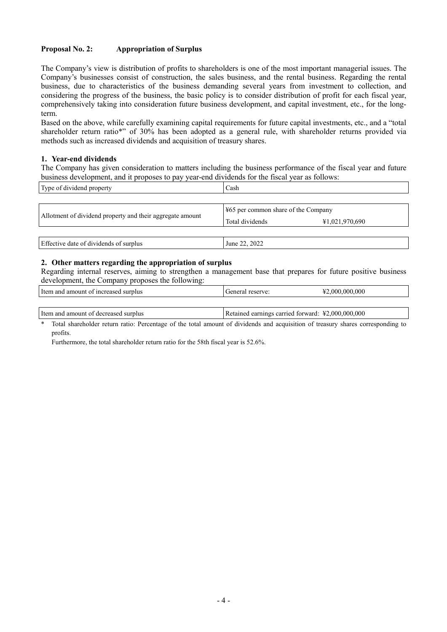## **Proposal No. 2: Appropriation of Surplus**

The Company's view is distribution of profits to shareholders is one of the most important managerial issues. The Company's businesses consist of construction, the sales business, and the rental business. Regarding the rental business, due to characteristics of the business demanding several years from investment to collection, and considering the progress of the business, the basic policy is to consider distribution of profit for each fiscal year, comprehensively taking into consideration future business development, and capital investment, etc., for the longterm.

Based on the above, while carefully examining capital requirements for future capital investments, etc., and a "total shareholder return ratio\*" of 30% has been adopted as a general rule, with shareholder returns provided via methods such as increased dividends and acquisition of treasury shares.

#### **1. Year-end dividends**

The Company has given consideration to matters including the business performance of the fiscal year and future business development, and it proposes to pay year-end dividends for the fiscal year as follows:

| Type of dividend property                                 | Cash            |                                                    |  |
|-----------------------------------------------------------|-----------------|----------------------------------------------------|--|
|                                                           |                 |                                                    |  |
| Allotment of dividend property and their aggregate amount |                 | $\frac{1265}{120}$ per common share of the Company |  |
|                                                           | Total dividends | ¥1,021,970,690                                     |  |
|                                                           |                 |                                                    |  |
| Effective date of dividends of surplus                    | June 22, 2022   |                                                    |  |

#### **2. Other matters regarding the appropriation of surplus**

Regarding internal reserves, aiming to strengthen a management base that prepares for future positive business development, the Company proposes the following:

| Item and amount of increased surplus   | l General reserve:                                | ¥2,000,000,000 |
|----------------------------------------|---------------------------------------------------|----------------|
|                                        |                                                   |                |
| I Item and amount of decreased surplus | Retained earnings carried forward: ¥2,000,000,000 |                |

Total shareholder return ratio: Percentage of the total amount of dividends and acquisition of treasury shares corresponding to profits.

Furthermore, the total shareholder return ratio for the 58th fiscal year is 52.6%.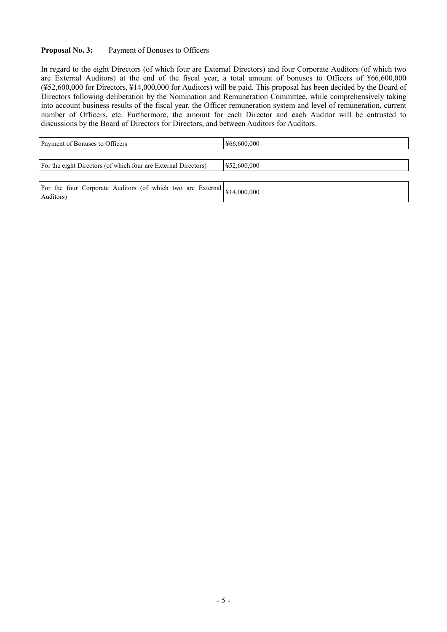## **Proposal No. 3:** Payment of Bonuses to Officers

In regard to the eight Directors (of which four are External Directors) and four Corporate Auditors (of which two are External Auditors) at the end of the fiscal year, a total amount of bonuses to Officers of ¥66,600,000 (¥52,600,000 for Directors, ¥14,000,000 for Auditors) will be paid. This proposal has been decided by the Board of Directors following deliberation by the Nomination and Remuneration Committee, while comprehensively taking into account business results of the fiscal year, the Officer remuneration system and level of remuneration, current number of Officers, etc. Furthermore, the amount for each Director and each Auditor will be entrusted to discussions by the Board of Directors for Directors, and between Auditors for Auditors.

| Payment of Bonuses to Officers                                 | ¥66,600,000 |
|----------------------------------------------------------------|-------------|
|                                                                |             |
| For the eight Directors (of which four are External Directors) | ¥52,600,000 |
|                                                                |             |

| For the four Corporate Auditors (of which two are External $\left  \frac{1}{4} \right  4,000,000$<br>Auditors) |  |
|----------------------------------------------------------------------------------------------------------------|--|
|----------------------------------------------------------------------------------------------------------------|--|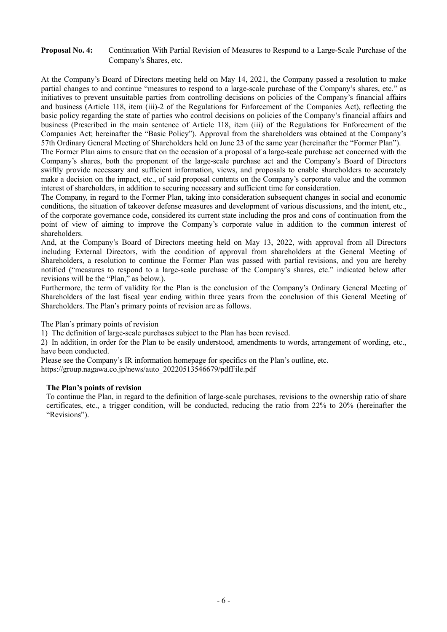## **Proposal No. 4:** Continuation With Partial Revision of Measures to Respond to a Large-Scale Purchase of the Company's Shares, etc.

At the Company's Board of Directors meeting held on May 14, 2021, the Company passed a resolution to make partial changes to and continue "measures to respond to a large-scale purchase of the Company's shares, etc." as initiatives to prevent unsuitable parties from controlling decisions on policies of the Company's financial affairs and business (Article 118, item (iii)-2 of the Regulations for Enforcement of the Companies Act), reflecting the basic policy regarding the state of parties who control decisions on policies of the Company's financial affairs and business (Prescribed in the main sentence of Article 118, item (iii) of the Regulations for Enforcement of the Companies Act; hereinafter the "Basic Policy"). Approval from the shareholders was obtained at the Company's 57th Ordinary General Meeting of Shareholders held on June 23 of the same year (hereinafter the "Former Plan").

The Former Plan aims to ensure that on the occasion of a proposal of a large-scale purchase act concerned with the Company's shares, both the proponent of the large-scale purchase act and the Company's Board of Directors swiftly provide necessary and sufficient information, views, and proposals to enable shareholders to accurately make a decision on the impact, etc., of said proposal contents on the Company's corporate value and the common interest of shareholders, in addition to securing necessary and sufficient time for consideration.

The Company, in regard to the Former Plan, taking into consideration subsequent changes in social and economic conditions, the situation of takeover defense measures and development of various discussions, and the intent, etc., of the corporate governance code, considered its current state including the pros and cons of continuation from the point of view of aiming to improve the Company's corporate value in addition to the common interest of shareholders.

And, at the Company's Board of Directors meeting held on May 13, 2022, with approval from all Directors including External Directors, with the condition of approval from shareholders at the General Meeting of Shareholders, a resolution to continue the Former Plan was passed with partial revisions, and you are hereby notified ("measures to respond to a large-scale purchase of the Company's shares, etc." indicated below after revisions will be the "Plan," as below.).

Furthermore, the term of validity for the Plan is the conclusion of the Company's Ordinary General Meeting of Shareholders of the last fiscal year ending within three years from the conclusion of this General Meeting of Shareholders. The Plan's primary points of revision are as follows.

The Plan's primary points of revision

1) The definition of large-scale purchases subject to the Plan has been revised.

2) In addition, in order for the Plan to be easily understood, amendments to words, arrangement of wording, etc., have been conducted.

Please see the Company's IR information homepage for specifics on the Plan's outline, etc.

https://group.nagawa.co.jp/news/auto\_20220513546679/pdfFile.pdf

## **The Plan's points of revision**

To continue the Plan, in regard to the definition of large-scale purchases, revisions to the ownership ratio of share certificates, etc., a trigger condition, will be conducted, reducing the ratio from 22% to 20% (hereinafter the "Revisions").